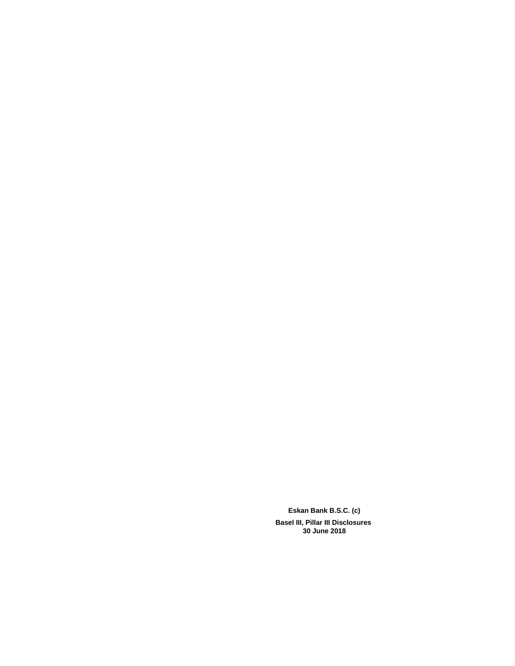**Eskan Bank B.S.C. (c) Basel III, Pillar III Disclosures 30 June 2018**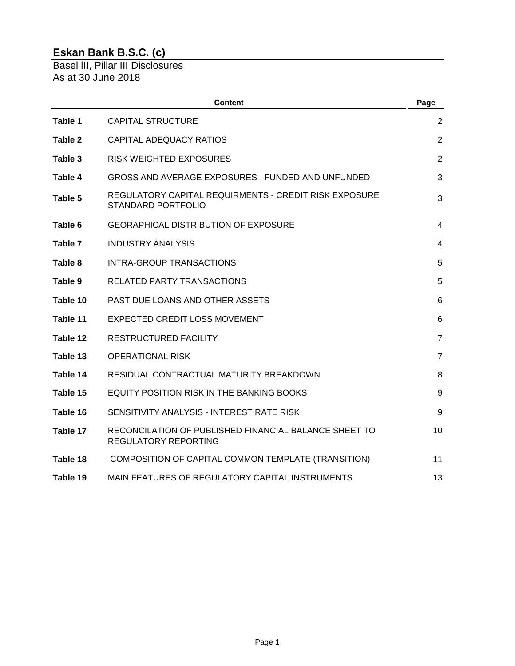Basel lII, Pillar III Disclosures As at 30 June 2018

|          | <b>Content</b>                                                                       | Page           |
|----------|--------------------------------------------------------------------------------------|----------------|
| Table 1  | <b>CAPITAL STRUCTURE</b>                                                             | $\overline{2}$ |
| Table 2  | <b>CAPITAL ADEQUACY RATIOS</b>                                                       | 2              |
| Table 3  | <b>RISK WEIGHTED EXPOSURES</b>                                                       | 2              |
| Table 4  | <b>GROSS AND AVERAGE EXPOSURES - FUNDED AND UNFUNDED</b>                             | 3              |
| Table 5  | REGULATORY CAPITAL REQUIRMENTS - CREDIT RISK EXPOSURE<br><b>STANDARD PORTFOLIO</b>   | 3              |
| Table 6  | <b>GEORAPHICAL DISTRIBUTION OF EXPOSURE</b>                                          | 4              |
| Table 7  | <b>INDUSTRY ANALYSIS</b>                                                             | $\overline{4}$ |
| Table 8  | <b>INTRA-GROUP TRANSACTIONS</b>                                                      | 5              |
| Table 9  | <b>RELATED PARTY TRANSACTIONS</b>                                                    | 5              |
| Table 10 | PAST DUE LOANS AND OTHER ASSETS                                                      | 6              |
| Table 11 | <b>EXPECTED CREDIT LOSS MOVEMENT</b>                                                 | 6              |
| Table 12 | <b>RESTRUCTURED FACILITY</b>                                                         | $\overline{7}$ |
| Table 13 | <b>OPERATIONAL RISK</b>                                                              | $\overline{7}$ |
| Table 14 | RESIDUAL CONTRACTUAL MATURITY BREAKDOWN                                              | 8              |
| Table 15 | <b>EQUITY POSITION RISK IN THE BANKING BOOKS</b>                                     | 9              |
| Table 16 | SENSITIVITY ANALYSIS - INTEREST RATE RISK                                            | 9              |
| Table 17 | RECONCILATION OF PUBLISHED FINANCIAL BALANCE SHEET TO<br><b>REGULATORY REPORTING</b> | 10             |
| Table 18 | COMPOSITION OF CAPITAL COMMON TEMPLATE (TRANSITION)                                  | 11             |
| Table 19 | MAIN FEATURES OF REGULATORY CAPITAL INSTRUMENTS                                      | 13             |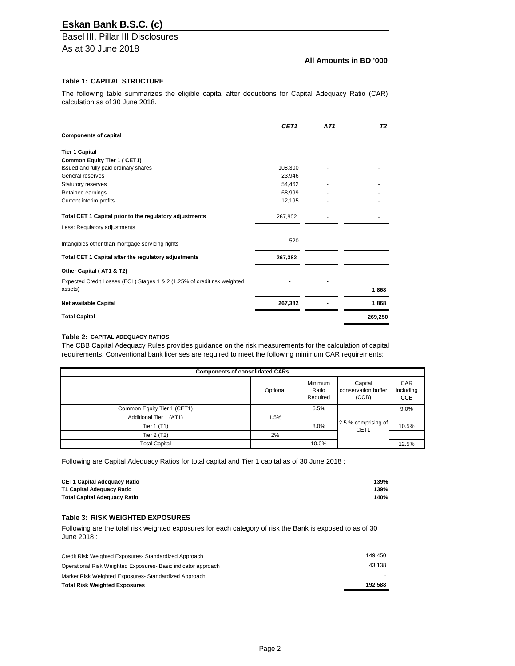Basel lII, Pillar III Disclosures As at 30 June 2018

### **All Amounts in BD '000**

### **Table 1: CAPITAL STRUCTURE**

The following table summarizes the eligible capital after deductions for Capital Adequacy Ratio (CAR) calculation as of 30 June 2018.

|                                                                          | CET1    | AT1 | T <sub>2</sub> |
|--------------------------------------------------------------------------|---------|-----|----------------|
| <b>Components of capital</b>                                             |         |     |                |
| <b>Tier 1 Capital</b>                                                    |         |     |                |
| <b>Common Equity Tier 1 (CET1)</b>                                       |         |     |                |
| Issued and fully paid ordinary shares                                    | 108,300 |     |                |
| General reserves                                                         | 23,946  |     |                |
| Statutory reserves                                                       | 54,462  |     |                |
| Retained earnings                                                        | 68,999  |     |                |
| Current interim profits                                                  | 12,195  |     |                |
| Total CET 1 Capital prior to the regulatory adjustments                  | 267,902 |     |                |
| Less: Regulatory adjustments                                             |         |     |                |
| Intangibles other than mortgage servicing rights                         | 520     |     |                |
| Total CET 1 Capital after the regulatory adjustments                     | 267,382 |     |                |
| Other Capital (AT1 & T2)                                                 |         |     |                |
| Expected Credit Losses (ECL) Stages 1 & 2 (1.25% of credit risk weighted |         |     |                |
| assets)                                                                  |         |     | 1,868          |
| <b>Net available Capital</b>                                             | 267,382 |     | 1,868          |
| <b>Total Capital</b>                                                     |         |     | 269,250        |
|                                                                          |         |     |                |

#### **Table 2: CAPITAL ADEQUACY RATIOS**

The CBB Capital Adequacy Rules provides guidance on the risk measurements for the calculation of capital requirements. Conventional bank licenses are required to meet the following minimum CAR requirements:

| <b>Components of consolidated CARs</b> |          |                                     |                                         |                                       |  |
|----------------------------------------|----------|-------------------------------------|-----------------------------------------|---------------------------------------|--|
|                                        | Optional | <b>Minimum</b><br>Ratio<br>Required | Capital<br>conservation buffer<br>(CCB) | <b>CAR</b><br>including<br><b>CCB</b> |  |
| Common Equity Tier 1 (CET1)            |          | 6.5%                                |                                         | $9.0\%$                               |  |
| Additional Tier 1 (AT1)                | 1.5%     |                                     |                                         |                                       |  |
| Tier 1 (T1)                            |          | 8.0%                                | 2.5 % comprising of<br>CET <sub>1</sub> | 10.5%                                 |  |
| Tier $2(T2)$                           | 2%       |                                     |                                         |                                       |  |
| <b>Total Capital</b>                   |          | 10.0%                               |                                         | 12.5%                                 |  |

Following are Capital Adequacy Ratios for total capital and Tier 1 capital as of 30 June 2018 :

| <b>CET1 Capital Adequacy Ratio</b>  | 139% |
|-------------------------------------|------|
| T1 Capital Adequacy Ratio           | 139% |
| <b>Total Capital Adequacy Ratio</b> | 140% |

### **Table 3: RISK WEIGHTED EXPOSURES**

Following are the total risk weighted exposures for each category of risk the Bank is exposed to as of 30 June 2018 :

| Credit Risk Weighted Exposures-Standardized Approach         | 149.450 |
|--------------------------------------------------------------|---------|
| Operational Risk Weighted Exposures-Basic indicator approach | 43.138  |
| Market Risk Weighted Exposures-Standardized Approach         |         |
| <b>Total Risk Weighted Exposures</b>                         | 192.588 |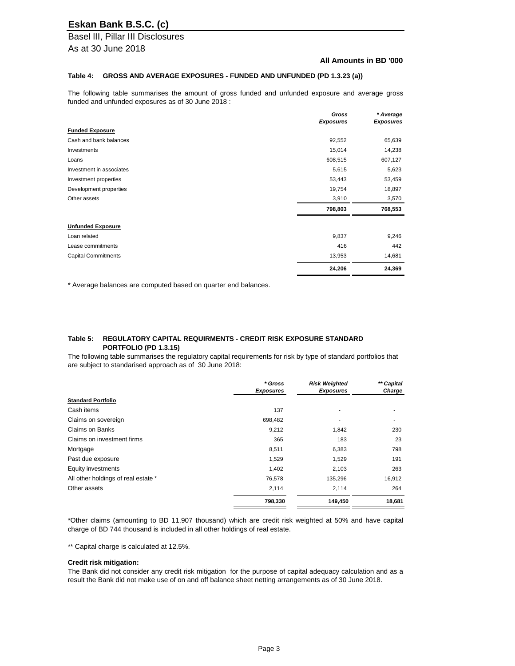Basel lII, Pillar III Disclosures As at 30 June 2018

#### **All Amounts in BD '000**

#### **Table 4: GROSS AND AVERAGE EXPOSURES - FUNDED AND UNFUNDED (PD 1.3.23 (a))**

The following table summarises the amount of gross funded and unfunded exposure and average gross funded and unfunded exposures as of 30 June 2018 :

|                            | Gross            | * Average        |
|----------------------------|------------------|------------------|
|                            | <b>Exposures</b> | <b>Exposures</b> |
| <b>Funded Exposure</b>     |                  |                  |
| Cash and bank balances     | 92,552           | 65,639           |
| Investments                | 15,014           | 14,238           |
| Loans                      | 608,515          | 607,127          |
| Investment in associates   | 5,615            | 5,623            |
| Investment properties      | 53,443           | 53,459           |
| Development properties     | 19,754           | 18,897           |
| Other assets               | 3,910            | 3,570            |
|                            | 798,803          | 768,553          |
| <b>Unfunded Exposure</b>   |                  |                  |
| Loan related               | 9,837            | 9,246            |
| Lease commitments          | 416              | 442              |
| <b>Capital Commitments</b> | 13,953           | 14,681           |
|                            | 24,206           | 24,369           |

\* Average balances are computed based on quarter end balances.

#### **Table 5: REGULATORY CAPITAL REQUIRMENTS - CREDIT RISK EXPOSURE STANDARD PORTFOLIO (PD 1.3.15)**

The following table summarises the regulatory capital requirements for risk by type of standard portfolios that are subject to standarised approach as of 30 June 2018:

|                                     | * Gross<br><b>Exposures</b> | <b>Risk Weighted</b><br><b>Exposures</b> | ** Capital<br>Charge |
|-------------------------------------|-----------------------------|------------------------------------------|----------------------|
| <b>Standard Portfolio</b>           |                             |                                          |                      |
| Cash items                          | 137                         |                                          |                      |
| Claims on sovereign                 | 698,482                     |                                          |                      |
| <b>Claims on Banks</b>              | 9,212                       | 1,842                                    | 230                  |
| Claims on investment firms          | 365                         | 183                                      | 23                   |
| Mortgage                            | 8,511                       | 6,383                                    | 798                  |
| Past due exposure                   | 1,529                       | 1,529                                    | 191                  |
| Equity investments                  | 1,402                       | 2,103                                    | 263                  |
| All other holdings of real estate * | 76,578                      | 135,296                                  | 16,912               |
| Other assets                        | 2,114                       | 2,114                                    | 264                  |
|                                     | 798,330                     | 149,450                                  | 18,681               |

\*Other claims (amounting to BD 11,907 thousand) which are credit risk weighted at 50% and have capital charge of BD 744 thousand is included in all other holdings of real estate.

\*\* Capital charge is calculated at 12.5%.

#### **Credit risk mitigation:**

The Bank did not consider any credit risk mitigation for the purpose of capital adequacy calculation and as a result the Bank did not make use of on and off balance sheet netting arrangements as of 30 June 2018.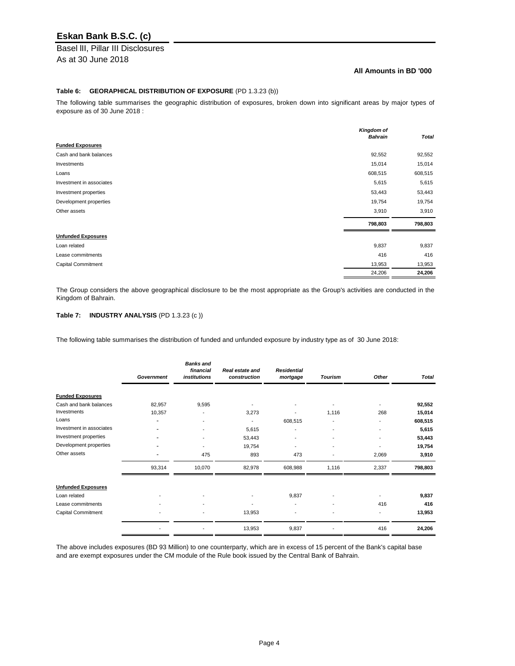# Basel lII, Pillar III Disclosures

As at 30 June 2018

### **All Amounts in BD '000**

### **Table 6: GEORAPHICAL DISTRIBUTION OF EXPOSURE** (PD 1.3.23 (b))

The following table summarises the geographic distribution of exposures, broken down into significant areas by major types of exposure as of 30 June 2018 :

|                           | <b>Kingdom of</b><br><b>Bahrain</b> | <b>Total</b> |
|---------------------------|-------------------------------------|--------------|
| <b>Funded Exposures</b>   |                                     |              |
| Cash and bank balances    | 92,552                              | 92,552       |
| Investments               | 15,014                              | 15,014       |
| Loans                     | 608,515                             | 608,515      |
| Investment in associates  | 5,615                               | 5,615        |
| Investment properties     | 53,443                              | 53,443       |
| Development properties    | 19,754                              | 19,754       |
| Other assets              | 3,910                               | 3,910        |
|                           | 798,803                             | 798,803      |
| <b>Unfunded Exposures</b> |                                     |              |
| Loan related              | 9,837                               | 9,837        |
| Lease commitments         | 416                                 | 416          |
| <b>Capital Commitment</b> | 13,953                              | 13,953       |
|                           | 24,206                              | 24,206       |

The Group considers the above geographical disclosure to be the most appropriate as the Group's activities are conducted in the Kingdom of Bahrain.

### **Table 7: INDUSTRY ANALYSIS** (PD 1.3.23 (c ))

The following table summarises the distribution of funded and unfunded exposure by industry type as of 30 June 2018:

|                           | Government | <b>Banks and</b><br>financial<br><i>institutions</i> | Real estate and<br>construction | <b>Residential</b><br>mortgage | <b>Tourism</b>           | <b>Other</b> | <b>Total</b> |
|---------------------------|------------|------------------------------------------------------|---------------------------------|--------------------------------|--------------------------|--------------|--------------|
| <b>Funded Exposures</b>   |            |                                                      |                                 |                                |                          |              |              |
| Cash and bank balances    | 82,957     | 9,595                                                |                                 |                                |                          |              | 92,552       |
| Investments               | 10,357     |                                                      | 3,273                           |                                | 1,116                    | 268          | 15,014       |
| Loans                     | ٠          |                                                      | $\blacksquare$                  | 608,515                        | $\blacksquare$           |              | 608,515      |
| Investment in associates  |            |                                                      | 5,615                           |                                | $\blacksquare$           |              | 5,615        |
| Investment properties     |            |                                                      | 53,443                          |                                | $\overline{\phantom{a}}$ |              | 53,443       |
| Development properties    |            |                                                      | 19,754                          |                                | $\overline{\phantom{a}}$ |              | 19,754       |
| Other assets              |            | 475                                                  | 893                             | 473                            | $\blacksquare$           | 2,069        | 3,910        |
|                           | 93,314     | 10,070                                               | 82,978                          | 608,988                        | 1,116                    | 2,337        | 798,803      |
| <b>Unfunded Exposures</b> |            |                                                      |                                 |                                |                          |              |              |
| Loan related              |            |                                                      |                                 | 9,837                          |                          |              | 9,837        |
| Lease commitments         |            |                                                      |                                 |                                |                          | 416          | 416          |
| <b>Capital Commitment</b> |            |                                                      | 13,953                          |                                | ٠                        |              | 13,953       |
|                           |            |                                                      | 13,953                          | 9,837                          |                          | 416          | 24,206       |

The above includes exposures (BD 93 Million) to one counterparty, which are in excess of 15 percent of the Bank's capital base and are exempt exposures under the CM module of the Rule book issued by the Central Bank of Bahrain.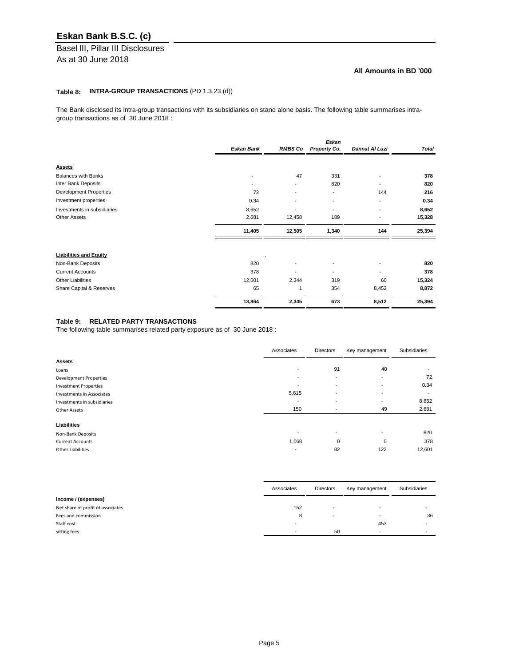Basel lII, Pillar III Disclosures As at 30 June 2018

### **All Amounts in BD '000**

### **Table 8: INTRA-GROUP TRANSACTIONS** (PD 1.3.23 (d))

The Bank disclosed its intra-group transactions with its subsidiaries on stand alone basis. The following table summarises intragroup transactions as of 30 June 2018 :

|                               |                          |                          | <b>Eskan</b>             |                |              |
|-------------------------------|--------------------------|--------------------------|--------------------------|----------------|--------------|
|                               | <b>Eskan Bank</b>        | <b>RMBS Co</b>           | Property Co.             | Dannat Al Luzi | <b>Total</b> |
|                               |                          |                          |                          |                |              |
| <b>Assets</b>                 |                          |                          |                          |                |              |
| <b>Balances with Banks</b>    | $\overline{\phantom{a}}$ | 47                       | 331                      |                | 378          |
| Inter Bank Deposits           |                          | $\overline{\phantom{a}}$ | 820                      |                | 820          |
| <b>Development Properties</b> | 72                       |                          | ۰                        | 144            | 216          |
| Investment properties         | 0.34                     |                          | $\overline{a}$           |                | 0.34         |
| Investments in subsidiaries   | 8,652                    |                          | ۰                        |                | 8,652        |
| <b>Other Assets</b>           | 2,681                    | 12,458                   | 189                      |                | 15,328       |
|                               | 11,405                   | 12,505                   | 1,340                    | 144            | 25,394       |
| <b>Liabilities and Equity</b> |                          |                          |                          |                |              |
|                               |                          |                          |                          |                |              |
| Non-Bank Deposits             | 820                      |                          | $\blacksquare$           |                | 820          |
| <b>Current Accounts</b>       | 378                      |                          | $\overline{\phantom{0}}$ |                | 378          |
| <b>Other Liabilities</b>      | 12,601                   | 2,344                    | 319                      | 60             | 15,324       |
| Share Capital & Reserves      | 65                       | 1                        | 354                      | 8,452          | 8,872        |
|                               | 13,864                   | 2,345                    | 673                      | 8,512          | 25,394       |

### **Table 9: RELATED PARTY TRANSACTIONS**

The following table summarises related party exposure as of 30 June 2018 :

|                                  | Associates               | Directors                | Key management           | Subsidiaries |
|----------------------------------|--------------------------|--------------------------|--------------------------|--------------|
| <b>Assets</b>                    |                          |                          |                          |              |
| Loans                            |                          | 91                       | 40                       | $\,$         |
| Development Properties           |                          | $\overline{\phantom{a}}$ | $\overline{\phantom{0}}$ | 72           |
| <b>Investment Properties</b>     |                          | $\blacksquare$           |                          | 0.34         |
| <b>Investments in Associates</b> | 5,615                    | $\overline{\phantom{a}}$ | $\overline{\phantom{a}}$ | $\sim$       |
| Investments in subsidiaries      | $\overline{\phantom{a}}$ | ۰                        | $\overline{\phantom{0}}$ | 8,652        |
| <b>Other Assets</b>              | 150                      | $\sim$                   | 49                       | 2,681        |
|                                  |                          |                          |                          |              |
| <b>Liabilities</b>               |                          |                          |                          |              |
| <b>Non-Bank Deposits</b>         |                          | -                        |                          | 820          |
| <b>Current Accounts</b>          | 1,068                    | $\mathbf 0$              | $\mathbf 0$              | 378          |
| <b>Other Liabilities</b>         | $\overline{\phantom{a}}$ | 82                       | 122                      | 12,601       |

|                                   | Associates               | <b>Directors</b> | Key management           | Subsidiaries |
|-----------------------------------|--------------------------|------------------|--------------------------|--------------|
| Income / (expenses)               |                          |                  |                          |              |
| Net share of profit of associates | 152                      | $\,$ – $\,$      | $\overline{\phantom{a}}$ |              |
| Fees and commission               | 8                        | $\,$ – $\,$      | . .                      | 36           |
| Staff cost                        | $\overline{\phantom{0}}$ |                  | 453                      |              |
| sitting fees                      |                          | 50               |                          |              |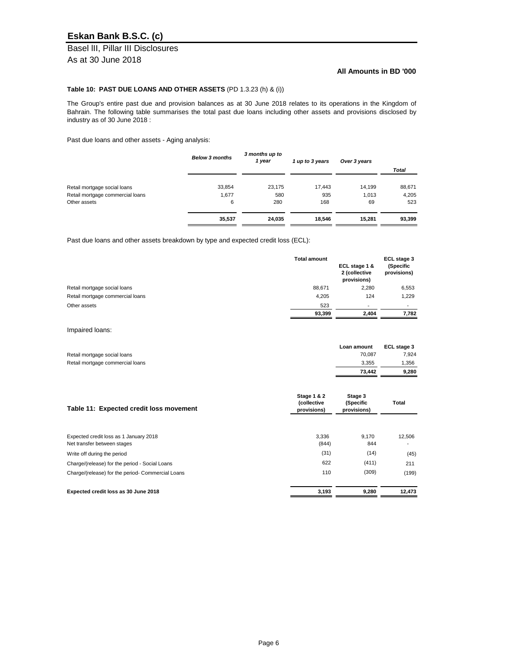Basel lII, Pillar III Disclosures As at 30 June 2018

### **All Amounts in BD '000**

### **Table 10: PAST DUE LOANS AND OTHER ASSETS** (PD 1.3.23 (h) & (i))

The Group's entire past due and provision balances as at 30 June 2018 relates to its operations in the Kingdom of Bahrain. The following table summarises the total past due loans including other assets and provisions disclosed by industry as of 30 June 2018 :

Past due loans and other assets - Aging analysis:

|                                  | <b>Below 3 months</b> | 3 months up to<br>1 year | 1 up to 3 years | Over 3 years |              |
|----------------------------------|-----------------------|--------------------------|-----------------|--------------|--------------|
|                                  |                       |                          |                 |              | <b>Total</b> |
| Retail mortgage social loans     | 33,854                | 23,175                   | 17,443          | 14,199       | 88,671       |
| Retail mortgage commercial loans | 1,677                 | 580                      | 935             | 1,013        | 4,205        |
| Other assets                     | 6                     | 280                      | 168             | 69           | 523          |
|                                  | 35,537                | 24.035                   | 18.546          | 15.281       | 93,399       |

Past due loans and other assets breakdown by type and expected credit loss (ECL):

|                                  | <b>Total amount</b> | ECL stage 1 &<br>2 (collective<br>provisions) | ECL stage 3<br>(Specific<br>provisions) |
|----------------------------------|---------------------|-----------------------------------------------|-----------------------------------------|
| Retail mortgage social loans     | 88,671              | 2,280                                         | 6,553                                   |
| Retail mortgage commercial loans | 4,205               | 124                                           | 1,229                                   |
| Other assets                     | 523                 | ٠                                             | $\sim$                                  |
|                                  | 93,399              | 2.404                                         | 7,782                                   |

Impaired loans:

|                                  | Loan amount | ECL stage 3 |
|----------------------------------|-------------|-------------|
| Retail mortgage social loans     | 70.087      | 7,924       |
| Retail mortgage commercial loans | 3.355       | 1,356       |
|                                  | 73.442      | 9,280       |

| Table 11: Expected credit loss movement                               | <b>Stage 1 &amp; 2</b><br>(collective<br>provisions) | Stage 3<br>(Specific<br>provisions) | <b>Total</b> |  |
|-----------------------------------------------------------------------|------------------------------------------------------|-------------------------------------|--------------|--|
| Expected credit loss as 1 January 2018<br>Net transfer between stages | 3,336<br>(844)                                       | 9.170<br>844                        | 12,506       |  |
| Write off during the period                                           | (31)                                                 | (14)                                | (45)         |  |
| Charge/(release) for the period - Social Loans                        | 622                                                  | (411)                               | 211          |  |
| Charge/(release) for the period- Commercial Loans                     | 110                                                  | (309)                               | (199)        |  |
| Expected credit loss as 30 June 2018                                  | 3,193                                                | 9,280                               | 12.473       |  |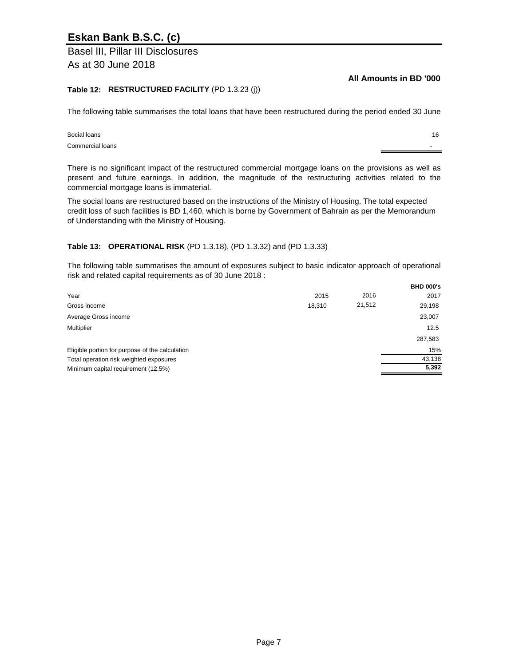Basel lII, Pillar III Disclosures As at 30 June 2018

**All Amounts in BD '000**

16

### **Table 12: RESTRUCTURED FACILITY** (PD 1.3.23 (j))

The following table summarises the total loans that have been restructured during the period ended 30 June

#### Commercial loans Social loans

There is no significant impact of the restructured commercial mortgage loans on the provisions as well as present and future earnings. In addition, the magnitude of the restructuring activities related to the commercial mortgage loans is immaterial.

The social loans are restructured based on the instructions of the Ministry of Housing. The total expected credit loss of such facilities is BD 1,460, which is borne by Government of Bahrain as per the Memorandum of Understanding with the Ministry of Housing.

### **Table 13: OPERATIONAL RISK** (PD 1.3.18), (PD 1.3.32) and (PD 1.3.33)

The following table summarises the amount of exposures subject to basic indicator approach of operational risk and related capital requirements as of 30 June 2018 :

|                                                 |        |        | <b>BHD 000's</b> |
|-------------------------------------------------|--------|--------|------------------|
| Year                                            | 2015   | 2016   | 2017             |
| Gross income                                    | 18,310 | 21,512 | 29,198           |
| Average Gross income                            |        |        | 23,007           |
| Multiplier                                      |        |        | 12.5             |
|                                                 |        |        | 287,583          |
| Eligible portion for purpose of the calculation |        |        | 15%              |
| Total operation risk weighted exposures         |        |        | 43,138           |
| Minimum capital requirement (12.5%)             |        |        | 5,392            |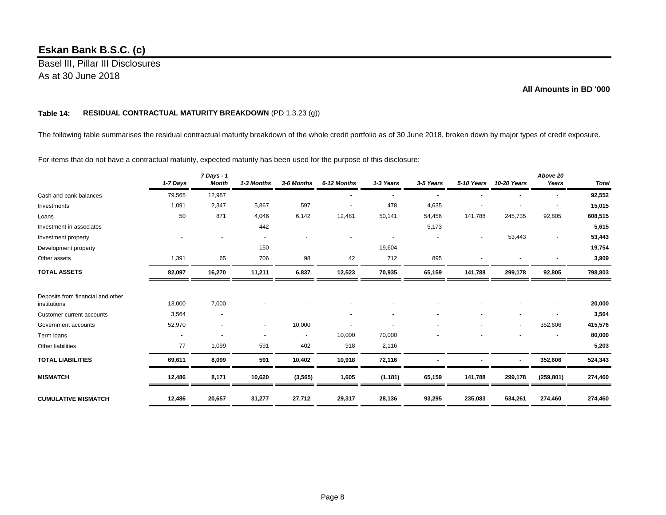Basel lII, Pillar III Disclosures As at 30 June 2018

### **All Amounts in BD '000**

### **Table 14: RESIDUAL CONTRACTUAL MATURITY BREAKDOWN** (PD 1.3.23 (g))

The following table summarises the residual contractual maturity breakdown of the whole credit portfolio as of 30 June 2018, broken down by major types of credit exposure.

For items that do not have a contractual maturity, expected maturity has been used for the purpose of this disclosure:

|                                                   | 1-7 Days | 7 Days - 1<br><b>Month</b> | 1-3 Months               | 3-6 Months     | 6-12 Months | 1-3 Years      | 3-5 Years | 5-10 Years | 10-20 Years | Above 20<br>Years | <b>Total</b> |
|---------------------------------------------------|----------|----------------------------|--------------------------|----------------|-------------|----------------|-----------|------------|-------------|-------------------|--------------|
| Cash and bank balances                            | 79,565   | 12,987                     |                          |                |             | $\blacksquare$ |           |            |             |                   | 92,552       |
| Investments                                       | 1,091    | 2,347                      | 5,867                    | 597            |             | 478            | 4,635     |            |             |                   | 15,015       |
| Loans                                             | 50       | 871                        | 4,046                    | 6,142          | 12,481      | 50,141         | 54,456    | 141,788    | 245,735     | 92,805            | 608,515      |
| Investment in associates                          |          |                            | 442                      |                |             |                | 5,173     |            |             |                   | 5,615        |
| Investment property                               |          |                            |                          |                |             |                |           |            | 53,443      |                   | 53,443       |
| Development property                              |          | $\overline{\phantom{a}}$   | 150                      | $\blacksquare$ | $\sim$      | 19,604         |           |            |             |                   | 19,754       |
| Other assets                                      | 1,391    | 65                         | 706                      | 98             | 42          | 712            | 895       |            |             |                   | 3,909        |
| <b>TOTAL ASSETS</b>                               | 82,097   | 16,270                     | 11,211                   | 6,837          | 12,523      | 70,935         | 65,159    | 141,788    | 299,178     | 92,805            | 798,803      |
| Deposits from financial and other<br>institutions | 13,000   | 7,000                      |                          |                |             |                |           |            |             |                   | 20,000       |
| Customer current accounts                         | 3,564    |                            |                          |                |             |                |           |            |             |                   | 3,564        |
| Government accounts                               | 52,970   |                            | $\overline{\phantom{a}}$ | 10,000         |             |                |           |            | $\sim$      | 352,606           | 415,576      |
| Term loans                                        |          |                            |                          | $\blacksquare$ | 10,000      | 70,000         |           |            |             |                   | 80,000       |
| Other liabilities                                 | 77       | 1,099                      | 591                      | 402            | 918         | 2,116          |           |            |             |                   | 5,203        |
| <b>TOTAL LIABILITIES</b>                          | 69,611   | 8,099                      | 591                      | 10,402         | 10,918      | 72,116         |           |            |             | 352,606           | 524,343      |
| <b>MISMATCH</b>                                   | 12,486   | 8,171                      | 10,620                   | (3, 565)       | 1,605       | (1, 181)       | 65,159    | 141,788    | 299,178     | (259, 801)        | 274,460      |
| <b>CUMULATIVE MISMATCH</b>                        | 12,486   | 20,657                     | 31,277                   | 27,712         | 29,317      | 28,136         | 93,295    | 235,083    | 534,261     | 274,460           | 274,460      |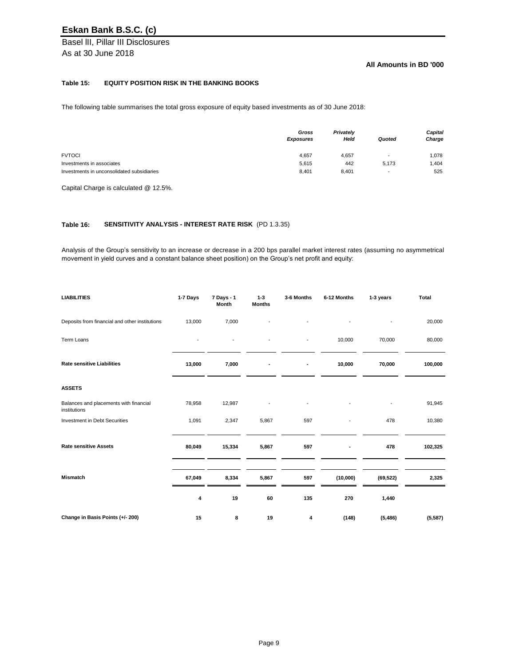Basel lII, Pillar III Disclosures As at 30 June 2018

### **All Amounts in BD '000**

### **Table 15: EQUITY POSITION RISK IN THE BANKING BOOKS**

The following table summarises the total gross exposure of equity based investments as of 30 June 2018:

|                                            | Gross<br><b>Exposures</b> | <b>Privately</b><br>Held | Quoted                   | <b>Capital</b><br>Charge |
|--------------------------------------------|---------------------------|--------------------------|--------------------------|--------------------------|
| <b>FVTOCI</b>                              | 4,657                     | 4,657                    | $\overline{\phantom{a}}$ | 1,078                    |
| Investments in associates                  | 5,615                     | 442                      | 5,173                    | 1,404                    |
| Investments in unconsolidated subsidiaries | 8,401                     | 8,401                    | $\overline{\phantom{a}}$ | 525                      |

Capital Charge is calculated @ 12.5%.

### **Table 16: SENSITIVITY ANALYSIS - INTEREST RATE RISK** (PD 1.3.35)

Analysis of the Group's sensitivity to an increase or decrease in a 200 bps parallel market interest rates (assuming no asymmetrical movement in yield curves and a constant balance sheet position) on the Group's net profit and equity:

| <b>LIABILITIES</b>                                     | 1-7 Days                 | 7 Days - 1<br><b>Month</b> | $1 - 3$<br><b>Months</b> | 3-6 Months     | 6-12 Months                  | 1-3 years | <b>Total</b> |
|--------------------------------------------------------|--------------------------|----------------------------|--------------------------|----------------|------------------------------|-----------|--------------|
| Deposits from financial and other institutions         | 13,000                   | 7,000                      |                          |                |                              |           | 20,000       |
| Term Loans                                             | $\overline{\phantom{a}}$ |                            |                          | $\blacksquare$ | 10,000                       | 70,000    | 80,000       |
| <b>Rate sensitive Liabilities</b>                      | 13,000                   | 7,000                      | $\blacksquare$           | $\blacksquare$ | 10,000                       | 70,000    | 100,000      |
| <b>ASSETS</b>                                          |                          |                            |                          |                |                              |           |              |
| Balances and placements with financial<br>institutions | 78,958                   | 12,987                     |                          |                |                              |           | 91,945       |
| <b>Investment in Debt Securities</b>                   | 1,091                    | 2,347                      | 5,867                    | 597            |                              | 478       | 10,380       |
| <b>Rate sensitive Assets</b>                           | 80,049                   | 15,334                     | 5,867                    | 597            | $\qquad \qquad \blacksquare$ | 478       | 102,325      |
| <b>Mismatch</b>                                        | 67,049                   | 8,334                      | 5,867                    | 597            | (10,000)                     | (69, 522) | 2,325        |
|                                                        | 4                        | 19                         | 60                       | 135            | 270                          | 1,440     |              |
| Change in Basis Points (+/- 200)                       | 15                       | 8                          | 19                       | 4              | (148)                        | (5, 486)  | (5, 587)     |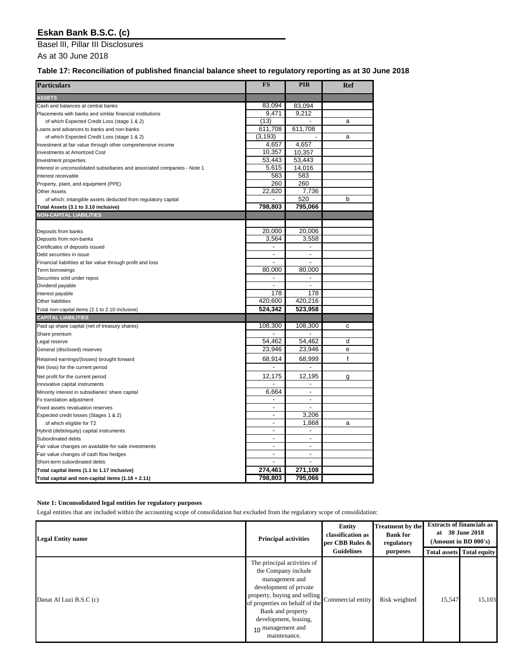Basel lII, Pillar III Disclosures

As at 30 June 2018

### **Table 17: Reconciliation of published financial balance sheet to regulatory reporting as at 30 June 2018**

| <b>Particulars</b>                                                             | <b>FS</b>      | <b>PIR</b>                   | <b>Ref</b> |
|--------------------------------------------------------------------------------|----------------|------------------------------|------------|
| <b>ASSETS</b>                                                                  |                |                              |            |
| Cash and balances at central banks                                             | 83,094         | 83,094                       |            |
| Placements with banks and similar financial institutions                       | 9,471          | 9,212                        |            |
| of which Expected Credit Loss (stage 1 & 2)                                    | (13)           |                              | a          |
| Loans and advances to banks and non-banks                                      | 611,708        | 611,708                      |            |
| of which Expected Credit Loss (stage 1 & 2)                                    | (3, 193)       |                              | a          |
| Investment at fair value through other comprehensive income                    | 4,657          | 4,657                        |            |
| <b>Investments at Amortized Cost</b>                                           | 10,357         | 10,357                       |            |
| Investment properties                                                          | 53,443         | 53,443                       |            |
| Interest in unconsolidated subsidiaries and associated companies - Note 1      | 5,615          | 14,016                       |            |
| Interest receivable                                                            | 583            | 583                          |            |
| Property, plant, and equipment (PPE)                                           | 260            | 260                          |            |
| <b>Other Assets</b>                                                            | 22,820         | 7,736                        |            |
| of which: intangible assets deducted from regulatory capital                   |                | 520                          | b          |
| Total Assets (3.1 to 3.10 inclusive)                                           | 798,803        | 795,066                      |            |
| <b>NON-CAPITAL LIABILITIES</b>                                                 |                |                              |            |
|                                                                                |                |                              |            |
| Deposits from banks                                                            | 20,000         | 20,006                       |            |
| Deposits from non-banks                                                        | 3,564          | 3,558                        |            |
| Certificates of deposits issued                                                | ä,             | ä,                           |            |
| Debt securities in issue                                                       |                | $\blacksquare$               |            |
|                                                                                |                |                              |            |
| Financial liabilities at fair value through profit and loss<br>Term borrowings | 80,000         | 80,000                       |            |
|                                                                                |                |                              |            |
| Securities sold under repos                                                    |                |                              |            |
| Dividend payable                                                               | 178            | 178                          |            |
| Interest payable                                                               | 420,600        | 420,216                      |            |
| Other liabilities                                                              |                |                              |            |
| Total non-capital items (2.1 to 2.10 inclusive)                                | 524,342        | 523,958                      |            |
| <b>CAPITAL LIABILITIES</b>                                                     |                |                              |            |
| Paid up share capital (net of treasury shares)                                 | 108,300        | 108,300                      | c          |
| Share premium                                                                  |                |                              |            |
| Legal reserve                                                                  | 54,462         | 54,462                       | d          |
| General (disclosed) reserves                                                   | 23,946         | 23,946                       | e          |
| Retained earnings/(losses) brought forward                                     | 68,914         | 68,999                       | f          |
| Net (loss) for the current period                                              |                | $\qquad \qquad \blacksquare$ |            |
| Net profit for the current period                                              | 12,175         | 12,195                       | g          |
| Innovative capital instruments                                                 |                |                              |            |
| Minority interest in subsidiaries' share capital                               | 6,664          |                              |            |
| Fx translation adjustment                                                      |                |                              |            |
| Fixed assets revaluation reserves                                              | $\blacksquare$ |                              |            |
| Expected credit losses (Stages 1 & 2)                                          |                | 3,206                        |            |
| of which eligible for T2                                                       |                | 1,868                        | a          |
| Hybrid (debt/equity) capital instruments                                       | $\blacksquare$ |                              |            |
| Subordinated debts                                                             | $\blacksquare$ | $\overline{\phantom{0}}$     |            |
| Fair value changes on available-for-sale investments                           | ٠              | ٠                            |            |
| Fair value changes of cash flow hedges                                         | ۰              | ٠                            |            |
| Short-term subordinated debts                                                  | $\blacksquare$ | $\overline{\phantom{a}}$     |            |
| Total capital items (1.1 to 1.17 inclusive)                                    | 274,461        | 271,108                      |            |
| Total capital and non-capital items $(1.18 + 2.11)$                            | 798,803        | 795,066                      |            |

### **Note 1: Unconsolidated legal entities for regulatory purposes**

Legal entities that are included within the accounting scope of consolidation but excluded from the regulatory scope of consolidation:

| <b>Legal Entity name</b> | <b>Principal activities</b>                                                                                                                                                                                                                         | <b>Entity</b><br>classification as<br>per CBB Rules &<br><b>Guidelines</b> | <b>Treatment by the</b><br><b>Bank for</b><br>regulatory<br>purposes | <b>Total assets</b> | <b>Extracts of financials as</b><br>at 30 June 2018<br>(Amount in BD 000's)<br><b>Total equity</b> |
|--------------------------|-----------------------------------------------------------------------------------------------------------------------------------------------------------------------------------------------------------------------------------------------------|----------------------------------------------------------------------------|----------------------------------------------------------------------|---------------------|----------------------------------------------------------------------------------------------------|
| Danat Al Luzi B.S.C (c)  | The principal activities of<br>the Company include<br>management and<br>development of private<br>property, buying and selling<br>of properties on behalf of the<br>Bank and property<br>development, leasing,<br>10 management and<br>maintenance. | Commercial entity                                                          | Risk weighted                                                        | 15,547              | 15,103                                                                                             |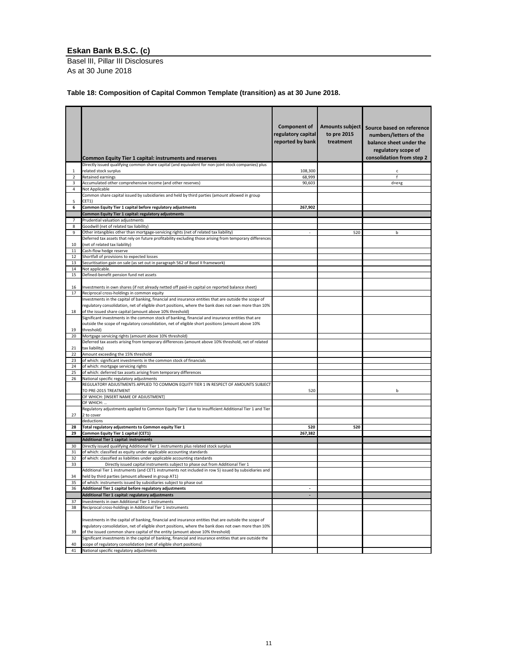Basel lII, Pillar III Disclosures As at 30 June 2018

### **Table 18: Composition of Capital Common Template (transition) as at 30 June 2018.**

|                | <b>Common Equity Tier 1 capital: instruments and reserves</b>                                                                | <b>Component of</b><br>regulatory capital<br>reported by bank | Amounts subject<br>to pre 2015<br>treatment | Source based on reference<br>numbers/letters of the<br>balance sheet under the<br>regulatory scope of<br>consolidation from step 2 |
|----------------|------------------------------------------------------------------------------------------------------------------------------|---------------------------------------------------------------|---------------------------------------------|------------------------------------------------------------------------------------------------------------------------------------|
| 1              | Directly issued qualifying common share capital (and equivalent for non-joint stock companies) plus<br>related stock surplus | 108,300                                                       |                                             |                                                                                                                                    |
| $\overline{2}$ | Retained earnings                                                                                                            | 68,999                                                        |                                             | c                                                                                                                                  |
| 3              | Accumulated other comprehensive income (and other reserves)                                                                  | 90,603                                                        |                                             | $d+e+g$                                                                                                                            |
| 4              | Not Applicable                                                                                                               |                                                               |                                             |                                                                                                                                    |
| 5              | Common share capital issued by subsidiaries and held by third parties (amount allowed in group<br>CET1)                      |                                                               |                                             |                                                                                                                                    |
| 6              | Common Equity Tier 1 capital before regulatory adjustments                                                                   | 267,902                                                       |                                             |                                                                                                                                    |
|                | Common Equity Tier 1 capital: regulatory adjustments                                                                         |                                                               |                                             |                                                                                                                                    |
| 7              | Prudential valuation adjustments                                                                                             |                                                               |                                             |                                                                                                                                    |
| 8              | Goodwill (net of related tax liability)                                                                                      |                                                               |                                             |                                                                                                                                    |
| 9              | Other intangibles other than mortgage-servicing rights (net of related tax liability)                                        | ٠                                                             | 520                                         | b                                                                                                                                  |
|                | Deferred tax assets that rely on future profitability excluding those arising from temporary differences                     |                                                               |                                             |                                                                                                                                    |
| 10             | (net of related tax liability)                                                                                               |                                                               |                                             |                                                                                                                                    |
| 11             | Cash-flow hedge reserve                                                                                                      |                                                               |                                             |                                                                                                                                    |
| 12             | Shortfall of provisions to expected losses                                                                                   |                                                               |                                             |                                                                                                                                    |
| 13             | Securitisation gain on sale (as set out in paragraph 562 of Basel II framework)                                              |                                                               |                                             |                                                                                                                                    |
| 14             | Not applicable.                                                                                                              |                                                               |                                             |                                                                                                                                    |
| 15             | Defined-benefit pension fund net assets                                                                                      |                                                               |                                             |                                                                                                                                    |
|                |                                                                                                                              |                                                               |                                             |                                                                                                                                    |
| 16             | Investments in own shares (if not already netted off paid-in capital on reported balance sheet)                              |                                                               |                                             |                                                                                                                                    |
| 17             | Reciprocal cross-holdings in common equity                                                                                   |                                                               |                                             |                                                                                                                                    |
|                | Investments in the capital of banking, financial and insurance entities that are outside the scope of                        |                                                               |                                             |                                                                                                                                    |
|                | regulatory consolidation, net of eligible short positions, where the bank does not own more than 10%                         |                                                               |                                             |                                                                                                                                    |
| 18             | of the issued share capital (amount above 10% threshold)                                                                     |                                                               |                                             |                                                                                                                                    |
|                | Significant investments in the common stock of banking, financial and insurance entities that are                            |                                                               |                                             |                                                                                                                                    |
|                | outside the scope of regulatory consolidation, net of eligible short positions (amount above 10%                             |                                                               |                                             |                                                                                                                                    |
| 19<br>20       | threshold)<br>Mortgage servicing rights (amount above 10% threshold)                                                         |                                                               |                                             |                                                                                                                                    |
|                | Deferred tax assets arising from temporary differences (amount above 10% threshold, net of related                           |                                                               |                                             |                                                                                                                                    |
| 21             | tax liability)                                                                                                               |                                                               |                                             |                                                                                                                                    |
| 22             | Amount exceeding the 15% threshold                                                                                           |                                                               |                                             |                                                                                                                                    |
| 23             | of which: significant investments in the common stock of financials                                                          |                                                               |                                             |                                                                                                                                    |
| 24             | of which: mortgage servicing rights                                                                                          |                                                               |                                             |                                                                                                                                    |
| 25             | of which: deferred tax assets arising from temporary differences                                                             |                                                               |                                             |                                                                                                                                    |
| 26             | National specific regulatory adjustments                                                                                     |                                                               |                                             |                                                                                                                                    |
|                | REGULATORY ADJUSTMENTS APPLIED TO COMMON EQUITY TIER 1 IN RESPECT OF AMOUNTS SUBJECT                                         |                                                               |                                             |                                                                                                                                    |
|                | TO PRE-2015 TREATMENT                                                                                                        | 520                                                           |                                             | b                                                                                                                                  |
|                | OF WHICH: [INSERT NAME OF ADJUSTMENT]                                                                                        |                                                               |                                             |                                                                                                                                    |
|                | OF WHICH:                                                                                                                    |                                                               |                                             |                                                                                                                                    |
|                | Regulatory adjustments applied to Common Equity Tier 1 due to insufficient Additional Tier 1 and Tier                        |                                                               |                                             |                                                                                                                                    |
| 27             | 2 to cover                                                                                                                   |                                                               |                                             |                                                                                                                                    |
|                | deductions                                                                                                                   |                                                               |                                             |                                                                                                                                    |
| 28<br>29       | Total regulatory adjustments to Common equity Tier 1<br>Common Equity Tier 1 capital (CET1)                                  | 520<br>267,382                                                | 520                                         |                                                                                                                                    |
|                | Additional Tier 1 capital: instruments                                                                                       |                                                               |                                             |                                                                                                                                    |
| 30             | Directly issued qualifying Additional Tier 1 instruments plus related stock surplus                                          |                                                               |                                             |                                                                                                                                    |
| 31             | of which: classified as equity under applicable accounting standards                                                         |                                                               |                                             |                                                                                                                                    |
| 32             | of which: classified as liabilities under applicable accounting standards                                                    |                                                               |                                             |                                                                                                                                    |
| 33             | Directly issued capital instruments subject to phase out from Additional Tier 1                                              |                                                               |                                             |                                                                                                                                    |
|                | Additional Tier 1 instruments (and CET1 instruments not included in row 5) issued by subsidiaries and                        |                                                               |                                             |                                                                                                                                    |
| 34             | held by third parties (amount allowed in group AT1)                                                                          |                                                               |                                             |                                                                                                                                    |
| 35             | of which: instruments issued by subsidiaries subject to phase out                                                            |                                                               |                                             |                                                                                                                                    |
| 36             | Additional Tier 1 capital before regulatory adjustments                                                                      |                                                               |                                             |                                                                                                                                    |
|                | Additional Tier 1 capital: regulatory adjustments                                                                            |                                                               |                                             |                                                                                                                                    |
| 37             | Investments in own Additional Tier 1 instruments                                                                             |                                                               |                                             |                                                                                                                                    |
| 38             | Reciprocal cross-holdings in Additional Tier 1 instruments                                                                   |                                                               |                                             |                                                                                                                                    |
|                |                                                                                                                              |                                                               |                                             |                                                                                                                                    |

|    | Investments in the capital of banking, financial and insurance entities that are outside the scope of    |  |  |
|----|----------------------------------------------------------------------------------------------------------|--|--|
|    | regulatory consolidation, net of eligible short positions, where the bank does not own more than 10%     |  |  |
| 39 | of the issued common share capital of the entity (amount above 10% threshold)                            |  |  |
|    | Significant investments in the capital of banking, financial and insurance entities that are outside the |  |  |
| 40 | scope of regulatory consolidation (net of eligible short positions)                                      |  |  |
| 41 | National specific regulatory adjustments                                                                 |  |  |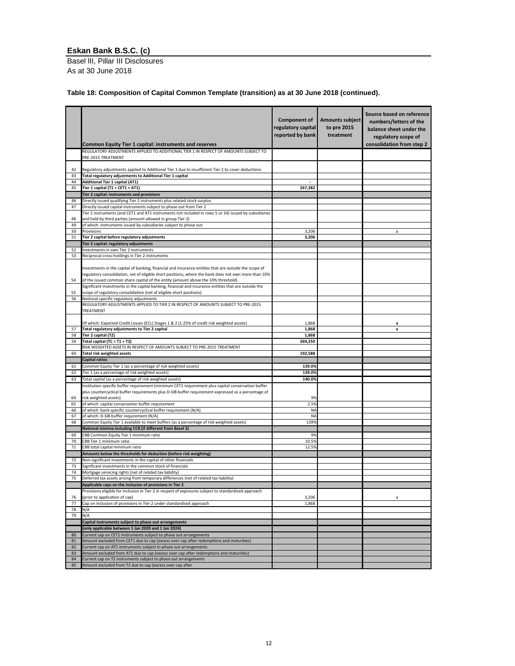Basel lII, Pillar III Disclosures As at 30 June 2018

### **Table 18: Composition of Capital Common Template (transition) as at 30 June 2018 (continued).**

|          | <b>Common Equity Tier 1 capital: instruments and reserves</b>                                                                                                                                                                                                                                       | <b>Component of</b><br>regulatory capital<br>reported by bank | Amounts subject<br>to pre 2015<br>treatment | Source based on reference<br>numbers/letters of the<br>balance sheet under the<br>regulatory scope of<br>consolidation from step 2 |
|----------|-----------------------------------------------------------------------------------------------------------------------------------------------------------------------------------------------------------------------------------------------------------------------------------------------------|---------------------------------------------------------------|---------------------------------------------|------------------------------------------------------------------------------------------------------------------------------------|
|          | REGULATORY ADJUSTMENTS APPLIED TO ADDITIONAL TIER 1 IN RESPECT OF AMOUNTS SUBJECT TO<br>PRE-2015 TREATMENT                                                                                                                                                                                          |                                                               |                                             |                                                                                                                                    |
| 42       | Regulatory adjustments applied to Additional Tier 1 due to insufficient Tier 2 to cover deductions<br>Total regulatory adjustments to Additional Tier 1 capital                                                                                                                                     |                                                               |                                             |                                                                                                                                    |
| 43<br>44 | <b>Additional Tier 1 capital (AT1)</b>                                                                                                                                                                                                                                                              |                                                               |                                             |                                                                                                                                    |
| 45       | Tier 1 capital (T1 = CET1 + AT1)                                                                                                                                                                                                                                                                    | 267,382                                                       |                                             |                                                                                                                                    |
|          | Tier 2 capital: instruments and provisions                                                                                                                                                                                                                                                          |                                                               |                                             |                                                                                                                                    |
| 46       | Directly issued qualifying Tier 2 instruments plus related stock surplus                                                                                                                                                                                                                            |                                                               |                                             |                                                                                                                                    |
| 47       | Directly issued capital instruments subject to phase out from Tier 2                                                                                                                                                                                                                                |                                                               |                                             |                                                                                                                                    |
| 48       | Tier 2 instruments (and CET1 and AT1 instruments not included in rows 5 or 34) issued by subsidiaries<br>and held by third parties (amount allowed in group Tier 2)                                                                                                                                 |                                                               |                                             |                                                                                                                                    |
| 49       | of which: instruments issued by subsidiaries subject to phase out                                                                                                                                                                                                                                   |                                                               |                                             |                                                                                                                                    |
| 50<br>51 | Provisions<br>Tier 2 capital before regulatory adjustments                                                                                                                                                                                                                                          | 3,206<br>3,206                                                |                                             | a                                                                                                                                  |
|          | Tier 2 capital: regulatory adjustments                                                                                                                                                                                                                                                              |                                                               |                                             |                                                                                                                                    |
| 52       | Investments in own Tier 2 instruments                                                                                                                                                                                                                                                               |                                                               |                                             |                                                                                                                                    |
| 53       | Reciprocal cross-holdings in Tier 2 instruments                                                                                                                                                                                                                                                     |                                                               |                                             |                                                                                                                                    |
| 54       | Investments in the capital of banking, financial and insurance entities that are outside the scope of<br>regulatory consolidation, net of eligible short positions, where the bank does not own more than 10%<br>of the issued common share capital of the entity (amount above the 10% threshold). |                                                               |                                             |                                                                                                                                    |
|          | Significant investments in the capital banking, financial and insurance entities that are outside the                                                                                                                                                                                               |                                                               |                                             |                                                                                                                                    |
| 55       | scope of regulatory consolidation (net of eligible short positions)                                                                                                                                                                                                                                 |                                                               |                                             |                                                                                                                                    |
| 56       | National specific regulatory adjustments<br>REGULATORY ADJUSTMENTS APPLIED TO TIER 2 IN RESPECT OF AMOUNTS SUBJECT TO PRE-2015                                                                                                                                                                      |                                                               |                                             |                                                                                                                                    |
|          | TREATMENT                                                                                                                                                                                                                                                                                           |                                                               |                                             |                                                                                                                                    |
|          | Of which: Expected Credit Losses (ECL) Stages 1 & 2 (1.25% of credit risk weighted assets)                                                                                                                                                                                                          | 1,868                                                         |                                             | а                                                                                                                                  |
| 57       | Total regulatory adjustments to Tier 2 capital                                                                                                                                                                                                                                                      | 1,868                                                         |                                             | a                                                                                                                                  |
| 58       | Tier 2 capital (T2)                                                                                                                                                                                                                                                                                 | 1,868                                                         |                                             |                                                                                                                                    |
| 59       | Total capital (TC = $T1 + T2$ )                                                                                                                                                                                                                                                                     | 269,250                                                       |                                             |                                                                                                                                    |
|          | RISK WEIGHTED ASSETS IN RESPECT OF AMOUNTS SUBJECT TO PRE-2015 TREATMENT                                                                                                                                                                                                                            |                                                               |                                             |                                                                                                                                    |
| 60       | <b>Total risk weighted assets</b>                                                                                                                                                                                                                                                                   | 192,588                                                       |                                             |                                                                                                                                    |
| 61       | <b>Capital ratios</b><br>Common Equity Tier 1 (as a percentage of risk weighted assets)                                                                                                                                                                                                             | 139.0%                                                        |                                             |                                                                                                                                    |
| 62       | Tier 1 (as a percentage of risk weighted assets)                                                                                                                                                                                                                                                    | 139.0%                                                        |                                             |                                                                                                                                    |
| 63       | Total capital (as a percentage of risk weighted assets)                                                                                                                                                                                                                                             | 140.0%                                                        |                                             |                                                                                                                                    |
|          | Institution specific buffer requirement (minimum CET1 requirement plus capital conservation buffer                                                                                                                                                                                                  |                                                               |                                             |                                                                                                                                    |
|          | plus countercyclical buffer requirements plus D-SIB buffer requirement expressed as a percentage of                                                                                                                                                                                                 |                                                               |                                             |                                                                                                                                    |
| 64       | risk weighted assets)                                                                                                                                                                                                                                                                               | 9%                                                            |                                             |                                                                                                                                    |
| 65       | of which: capital conservation buffer requirement                                                                                                                                                                                                                                                   | 2.5%                                                          |                                             |                                                                                                                                    |
| 66       | of which: bank specific countercyclical buffer requirement (N/A)                                                                                                                                                                                                                                    | <b>NA</b>                                                     |                                             |                                                                                                                                    |
| 67       | of which: D-SIB buffer requirement (N/A)                                                                                                                                                                                                                                                            | <b>NA</b><br>139%                                             |                                             |                                                                                                                                    |
| 68       | Common Equity Tier 1 available to meet buffers (as a percentage of risk weighted assets)<br>National minima including CCB (if different from Basel 3)                                                                                                                                               |                                                               |                                             |                                                                                                                                    |
| 69       | CBB Common Equity Tier 1 minimum ratio                                                                                                                                                                                                                                                              | 9%                                                            |                                             |                                                                                                                                    |
| 70       | CBB Tier 1 minimum ratio                                                                                                                                                                                                                                                                            | 10.5%                                                         |                                             |                                                                                                                                    |
| 71       | CBB total capital minimum ratio                                                                                                                                                                                                                                                                     | 12.5%                                                         |                                             |                                                                                                                                    |
|          | Amounts below the thresholds for deduction (before risk weighting)                                                                                                                                                                                                                                  |                                                               |                                             |                                                                                                                                    |
| 72       | Non-significant investments in the capital of other financials                                                                                                                                                                                                                                      |                                                               |                                             |                                                                                                                                    |
| 73       | Significant investments in the common stock of financials                                                                                                                                                                                                                                           |                                                               |                                             |                                                                                                                                    |
| 74<br>75 | Mortgage servicing rights (net of related tax liability)<br>Deferred tax assets arising from temporary differences (net of related tax liability)                                                                                                                                                   |                                                               |                                             |                                                                                                                                    |
|          | Applicable caps on the inclusion of provisions in Tier 2                                                                                                                                                                                                                                            |                                                               |                                             |                                                                                                                                    |
|          | Provisions eligible for inclusion in Tier 2 in respect of exposures subject to standardised approach                                                                                                                                                                                                |                                                               |                                             |                                                                                                                                    |
| 76       | (prior to application of cap)                                                                                                                                                                                                                                                                       | 3,206                                                         |                                             | a                                                                                                                                  |
| 77       | Cap on inclusion of provisions in Tier 2 under standardised approach                                                                                                                                                                                                                                | 1,868                                                         |                                             |                                                                                                                                    |
| 78       | N/A                                                                                                                                                                                                                                                                                                 |                                                               |                                             |                                                                                                                                    |
| 79       | N/A                                                                                                                                                                                                                                                                                                 |                                                               |                                             |                                                                                                                                    |
|          | Capital instruments subject to phase-out arrangements                                                                                                                                                                                                                                               |                                                               |                                             |                                                                                                                                    |
|          | (only applicable between 1 Jan 2020 and 1 Jan 2024)                                                                                                                                                                                                                                                 |                                                               |                                             |                                                                                                                                    |
| 80<br>81 | Current cap on CET1 instruments subject to phase out arrangements<br>Amount excluded from CET1 due to cap (excess over cap after redemptions and maturities)                                                                                                                                        |                                                               |                                             |                                                                                                                                    |
| 82       | Current cap on AT1 instruments subject to phase out arrangements                                                                                                                                                                                                                                    |                                                               |                                             |                                                                                                                                    |
| 83       | Amount excluded from AT1 due to cap (excess over cap after redemptions and maturities)                                                                                                                                                                                                              |                                                               |                                             |                                                                                                                                    |
| 84       | Current cap on T2 instruments subject to phase out arrangements                                                                                                                                                                                                                                     |                                                               |                                             |                                                                                                                                    |
|          | Amount excluded from T2 due to cap (excess over cap after                                                                                                                                                                                                                                           |                                                               |                                             |                                                                                                                                    |